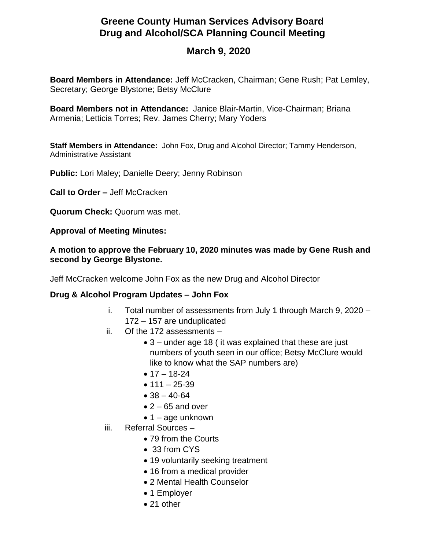## **Greene County Human Services Advisory Board Drug and Alcohol/SCA Planning Council Meeting**

## **March 9, 2020**

**Board Members in Attendance:** Jeff McCracken, Chairman; Gene Rush; Pat Lemley, Secretary; George Blystone; Betsy McClure

**Board Members not in Attendance:** Janice Blair-Martin, Vice-Chairman; Briana Armenia; Letticia Torres; Rev. James Cherry; Mary Yoders

**Staff Members in Attendance:** John Fox, Drug and Alcohol Director; Tammy Henderson, Administrative Assistant

**Public:** Lori Maley; Danielle Deery; Jenny Robinson

**Call to Order –** Jeff McCracken

**Quorum Check:** Quorum was met.

**Approval of Meeting Minutes:**

## **A motion to approve the February 10, 2020 minutes was made by Gene Rush and second by George Blystone.**

Jeff McCracken welcome John Fox as the new Drug and Alcohol Director

## **Drug & Alcohol Program Updates – John Fox**

- i. Total number of assessments from July 1 through March 9, 2020 172 – 157 are unduplicated
- ii. Of the 172 assessments
	- 3 under age 18 ( it was explained that these are just numbers of youth seen in our office; Betsy McClure would like to know what the SAP numbers are)
	- $17 18 24$
	- $111 25 39$
	- $38 40 64$
	- $\bullet$  2 65 and over
	- $\bullet$  1 age unknown
- iii. Referral Sources
	- 79 from the Courts
	- 33 from CYS
	- 19 voluntarily seeking treatment
	- 16 from a medical provider
	- 2 Mental Health Counselor
	- 1 Employer
	- 21 other